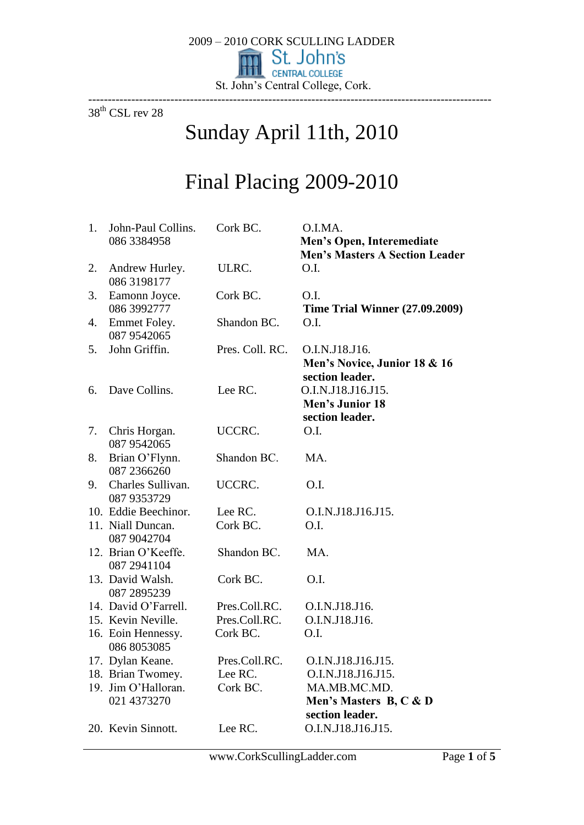

38<sup>th</sup> CSL rev 28

# Sunday April 11th, 2010

# Final Placing 2009-2010

| 1. | John-Paul Collins.<br>086 3384958   | Cork BC.        | O.I.MA.<br>Men's Open, Interemediate<br><b>Men's Masters A Section Leader</b> |
|----|-------------------------------------|-----------------|-------------------------------------------------------------------------------|
| 2. | Andrew Hurley.<br>086 3198177       | ULRC.           | O.I.                                                                          |
| 3. | Eamonn Joyce.<br>086 3992777        | Cork BC.        | O.I.<br><b>Time Trial Winner (27.09.2009)</b>                                 |
| 4. | Emmet Foley.<br>087 9542065         | Shandon BC.     | O.I.                                                                          |
| 5. | John Griffin.                       | Pres. Coll. RC. | O.I.N.J18.J16.<br>Men's Novice, Junior 18 & 16<br>section leader.             |
| 6. | Dave Collins.                       | Lee RC.         | O.I.N.J18.J16.J15.<br><b>Men's Junior 18</b><br>section leader.               |
| 7. | Chris Horgan.<br>087 9542065        | UCCRC.          | O.I.                                                                          |
| 8. | Brian O'Flynn.<br>087 2366260       | Shandon BC.     | MA.                                                                           |
|    | 9. Charles Sullivan.<br>087 9353729 | UCCRC.          | O.I.                                                                          |
|    | 10. Eddie Beechinor.                | Lee RC.         | O.I.N.J18.J16.J15.                                                            |
|    | 11. Niall Duncan.<br>087 9042704    | Cork BC.        | O.I.                                                                          |
|    | 12. Brian O'Keeffe.<br>087 2941104  | Shandon BC.     | MA.                                                                           |
|    | 13. David Walsh.<br>087 2895239     | Cork BC.        | O.I.                                                                          |
|    | 14. David O'Farrell.                | Pres.Coll.RC.   | O.I.N.J18.J16.                                                                |
|    | 15. Kevin Neville.                  | Pres.Coll.RC.   | O.I.N.J18.J16.                                                                |
|    | 16. Eoin Hennessy.<br>086 8053085   | Cork BC.        | O.I.                                                                          |
|    | 17. Dylan Keane.                    | Pres.Coll.RC.   | O.I.N.J18.J16.J15                                                             |
|    | 18. Brian Twomey.                   | Lee RC.         | O.I.N.J18.J16.J15.                                                            |
|    | 19. Jim O'Halloran.<br>021 4373270  | Cork BC.        | MA.MB.MC.MD.<br>Men's Masters B, C & D<br>section leader.                     |
|    | 20. Kevin Sinnott.                  | Lee RC.         | O.I.N.J18.J16.J15.                                                            |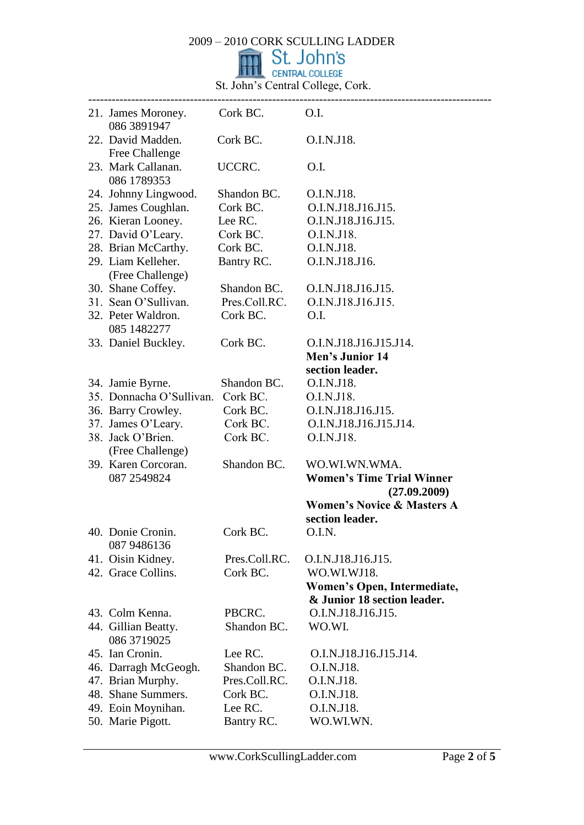St. John's Central College, Cork.

| 21. James Moroney. Cork BC. O.I.<br>086 3891947 |               |                                                  |
|-------------------------------------------------|---------------|--------------------------------------------------|
| 22. David Madden.<br>Free Challenge             | Cork BC.      | O.I.N.J18.                                       |
| 23. Mark Callanan.<br>086 1789353               | UCCRC.        | O.I.                                             |
| 24. Johnny Lingwood.                            | Shandon BC.   | O.I.N.J18.                                       |
| 25. James Coughlan.                             | Cork BC.      | O.I.N.J18.J16.J15.                               |
| 26. Kieran Looney.                              | Lee RC.       | O.I.N.J18.J16.J15.                               |
| 27. David O'Leary.                              | Cork BC.      | O.I.N.J18.                                       |
| 28. Brian McCarthy.                             | Cork BC.      | O.I.N.J18.                                       |
| 29. Liam Kelleher.<br>(Free Challenge)          | Bantry RC.    | O.I.N.J18.J16.                                   |
| 30. Shane Coffey.                               | Shandon BC.   | O.I.N.J18.J16.J15.                               |
| 31. Sean O'Sullivan.                            | Pres.Coll.RC. | O.I.N.J18.J16.J15.                               |
| 32. Peter Waldron.                              | Cork BC.      | O.I.                                             |
| 085 1482277                                     |               |                                                  |
| 33. Daniel Buckley.                             | Cork BC.      | O.I.N.J18.J16.J15.J14.                           |
|                                                 |               | Men's Junior 14                                  |
|                                                 |               | section leader.                                  |
| 34. Jamie Byrne.                                | Shandon BC.   | O.I.N.J18.                                       |
| 35. Donnacha O'Sullivan.                        | Cork BC.      | O.I.N.J18.                                       |
| 36. Barry Crowley.                              | Cork BC.      | O.I.N.J18.J16.J15.                               |
| 37. James O'Leary.                              | Cork BC.      | O.I.N.J18.J16.J15.J14.                           |
| 38. Jack O'Brien.                               | Cork BC.      | O.I.N.J18.                                       |
| (Free Challenge)                                |               |                                                  |
| 39. Karen Corcoran.                             | Shandon BC.   | WO.WI.WN.WMA.                                    |
| 087 2549824                                     |               | <b>Women's Time Trial Winner</b><br>(27.09.2009) |
|                                                 |               | <b>Women's Novice &amp; Masters A</b>            |
|                                                 |               | section leader.                                  |
| 40. Donie Cronin.                               | Cork BC.      | O.I.N                                            |
| 087 9486136                                     |               |                                                  |
| 41. Oisin Kidney.                               | Pres.Coll.RC. | O.I.N.J18.J16.J15.                               |
| 42. Grace Collins.                              | Cork BC.      | WO.WI.WJ18.                                      |
|                                                 |               | Women's Open, Intermediate,                      |
|                                                 |               | & Junior 18 section leader.                      |
| 43. Colm Kenna.                                 | PBCRC.        | O.I.N.J18.J16.J15.                               |
| 44. Gillian Beatty.<br>086 3719025              | Shandon BC.   | WO.WI.                                           |
| 45. Ian Cronin.                                 | Lee RC.       | O.I.N.J18.J16.J15.J14.                           |
| 46. Darragh McGeogh.                            | Shandon BC.   | O.I.N.J18.                                       |
| 47. Brian Murphy.                               | Pres.Coll.RC. | O.I.N.J18.                                       |
| 48. Shane Summers.                              | Cork BC.      | O.I.N.J18.                                       |
| 49. Eoin Moynihan.                              | Lee RC.       | O.I.N.J18.                                       |
| 50. Marie Pigott.                               | Bantry RC.    | WO.WI.WN.                                        |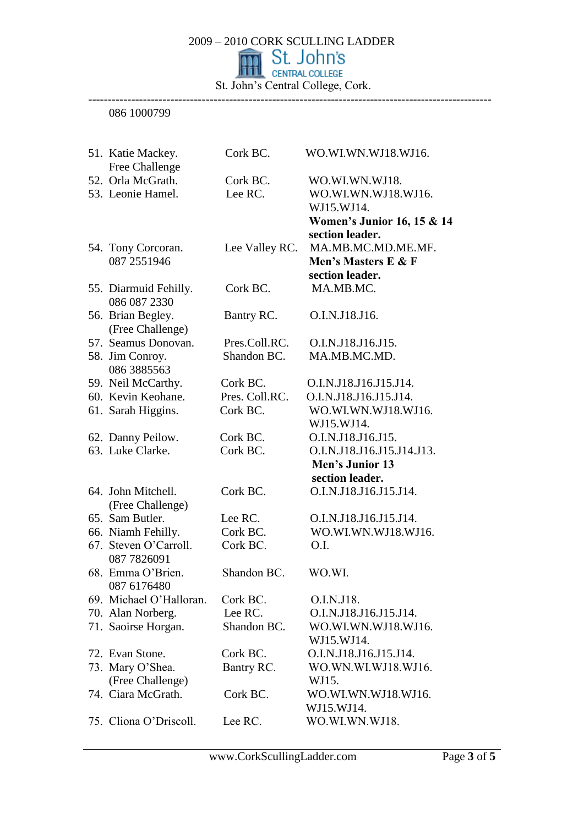St. John's Central College, Cork. -------------------------------------------------------------------------------------------------------

### 086 1000799

| 51. Katie Mackey.                      | Cork BC.       | WO.WI.WN.WJ18.WJ16.                   |
|----------------------------------------|----------------|---------------------------------------|
| Free Challenge                         |                |                                       |
| 52. Orla McGrath.                      | Cork BC.       | WO.WI.WN.WJ18.                        |
| 53. Leonie Hamel.                      | Lee RC.        | WO.WI.WN.WJ18.WJ16.                   |
|                                        |                | WJ15.WJ14.                            |
|                                        |                | <b>Women's Junior 16, 15 &amp; 14</b> |
|                                        |                | section leader.                       |
| 54. Tony Corcoran.                     | Lee Valley RC. | MA.MB.MC.MD.ME.MF.                    |
| 087 2551946                            |                | Men's Masters E & F                   |
|                                        |                | section leader.                       |
| 55. Diarmuid Fehilly.<br>086 087 2330  | Cork BC.       | MA.MB.MC.                             |
| 56. Brian Begley.<br>(Free Challenge)  | Bantry RC.     | O.I.N.J18.J16.                        |
| 57. Seamus Donovan.                    | Pres.Coll.RC.  | O.I.N.J18.J16.J15.                    |
| 58. Jim Conroy.                        | Shandon BC.    | MA.MB.MC.MD.                          |
| 086 3885563                            |                |                                       |
| 59. Neil McCarthy.                     | Cork BC.       | O.I.N.J18.J16.J15.J14.                |
| 60. Kevin Keohane.                     | Pres. Coll.RC. | O.I.N.J18.J16.J15.J14.                |
| 61. Sarah Higgins.                     | Cork BC.       | WO.WI.WN.WJ18.WJ16.                   |
|                                        |                | WJ15.WJ14.                            |
| 62. Danny Peilow.                      | Cork BC.       | O.I.N.J18.J16.J15.                    |
| 63. Luke Clarke.                       | Cork BC.       | O.I.N.J18.J16.J15.J14.J13.            |
|                                        |                | Men's Junior 13                       |
|                                        |                | section leader.                       |
| 64. John Mitchell.<br>(Free Challenge) | Cork BC.       | O.I.N.J18.J16.J15.J14.                |
| 65. Sam Butler.                        | Lee RC.        | O.I.N.J18.J16.J15.J14.                |
| 66. Niamh Fehilly.                     | Cork BC.       | WO.WI.WN.WJ18.WJ16.                   |
| 67. Steven O'Carroll.<br>087 7826091   | Cork BC.       | 0.I.                                  |
| 68. Emma O'Brien.<br>087 6176480       | Shandon BC.    | WO.WI.                                |
| 69. Michael O'Halloran.                | Cork BC.       | O.I.N.J18.                            |
| 70. Alan Norberg.                      | Lee RC.        | O.I.N.J18.J16.J15.J14.                |
| 71. Saoirse Horgan.                    | Shandon BC.    | WO.WI.WN.WJ18.WJ16.                   |
|                                        |                | WJ15.WJ14.                            |
| 72. Evan Stone.                        | Cork BC.       | O.I.N.J18.J16.J15.J14.                |
| 73. Mary O'Shea.                       | Bantry RC.     | WO.WN.WI.WJ18.WJ16.                   |
| (Free Challenge)                       |                | WJ15.                                 |
| 74. Ciara McGrath.                     | Cork BC.       | WO.WI.WN.WJ18.WJ16.                   |
|                                        |                | WJ15.WJ14.                            |
| 75. Cliona O'Driscoll.                 | Lee RC.        | WO.WI.WN.WJ18.                        |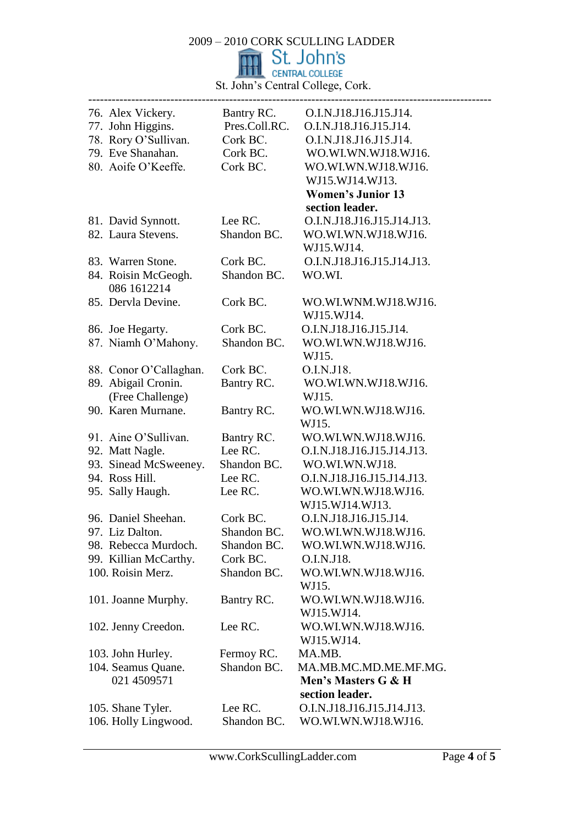St. John's Central College, Cork.

|                                   |                           | 76. Alex Vickery. Bantry RC. O.I.N.J18.J16.J15.J14. |
|-----------------------------------|---------------------------|-----------------------------------------------------|
| 77. John Higgins.                 | Pres.Coll.RC.             | O.I.N.J18.J16.J15.J14.                              |
| 78. Rory O'Sullivan.              | Cork BC.                  | O.I.N.J18.J16.J15.J14.                              |
| 79. Eve Shanahan.                 | Cork BC.                  | WO.WI.WN.WJ18.WJ16.                                 |
| 80. Aoife O'Keeffe.               | Cork BC.                  | WO.WI.WN.WJ18.WJ16.                                 |
|                                   |                           | WJ15.WJ14.WJ13.                                     |
|                                   |                           | <b>Women's Junior 13</b>                            |
|                                   |                           | section leader.                                     |
| 81. David Synnott.                | Lee RC.                   | O.I.N.J18.J16.J15.J14.J13.                          |
| 82. Laura Stevens.                | Shandon BC.               | WO.WI.WN.WJ18.WJ16.                                 |
|                                   |                           | WJ15.WJ14.                                          |
| 83. Warren Stone.                 | Cork BC.                  | O.I.N.J18.J16.J15.J14.J13.                          |
| 84. Roisin McGeogh.               | Shandon BC.               | WO.WI.                                              |
| 086 1612214                       |                           |                                                     |
| 85. Dervla Devine.                | Cork BC.                  | WO.WI.WNM.WJ18.WJ16.                                |
|                                   |                           | WJ15.WJ14.                                          |
| 86. Joe Hegarty.                  | Cork BC.                  | O.I.N.J18.J16.J15.J14.                              |
| 87. Niamh O'Mahony.               | Shandon BC.               | WO.WI.WN.WJ18.WJ16.                                 |
|                                   |                           | WJ15.                                               |
| 88. Conor O'Callaghan.            | Cork BC.                  | O.I.N.J18.                                          |
| 89. Abigail Cronin.               | Bantry RC.                | WO.WI.WN.WJ18.WJ16.                                 |
| (Free Challenge)                  |                           | WJ15.                                               |
| 90. Karen Murnane.                | Bantry RC.                | WO.WI.WN.WJ18.WJ16.                                 |
|                                   |                           | WJ15.                                               |
| 91. Aine O'Sullivan.              | Bantry RC.                | WO.WI.WN.WJ18.WJ16.                                 |
| 92. Matt Nagle.                   | Lee RC.                   | O.I.N.J18.J16.J15.J14.J13.                          |
| 93. Sinead McSweeney.             | Shandon BC.               | WO.WI.WN.WJ18.                                      |
| 94. Ross Hill.                    | Lee RC.                   | O.I.N.J18.J16.J15.J14.J13.                          |
| 95. Sally Haugh.                  | Lee RC.                   | WO.WI.WN.WJ18.WJ16.                                 |
|                                   |                           | WJ15.WJ14.WJ13.                                     |
| 96. Daniel Sheehan.               | Cork BC.                  | O.I.N.J18.J16.J15.J14.                              |
| 97. Liz Dalton.                   | Shandon BC                | WO.WI.WN.WJ18.WJ16.                                 |
| 98. Rebecca Murdoch.              | Shandon BC.               | WO.WI.WN.WJ18.WJ16.                                 |
| 99. Killian McCarthy.             | Cork BC.                  | O.I.N.J18.                                          |
| 100. Roisin Merz.                 | Shandon BC.               | WO.WI.WN.WJ18.WJ16.                                 |
|                                   |                           | WJ15.                                               |
| 101. Joanne Murphy.               | Bantry RC.                | WO.WI.WN.WJ18.WJ16.                                 |
|                                   |                           | WJ15.WJ14.                                          |
| 102. Jenny Creedon.               | Lee RC.                   | WO.WI.WN.WJ18.WJ16.                                 |
|                                   |                           | WJ15.WJ14.                                          |
|                                   |                           | MA.MB.                                              |
| 103. John Hurley.                 | Fermoy RC.<br>Shandon BC. | MA.MB.MC.MD.ME.MF.MG.                               |
| 104. Seamus Quane.<br>021 4509571 |                           | Men's Masters G & H                                 |
|                                   |                           | section leader.                                     |
|                                   |                           |                                                     |
| 105. Shane Tyler.                 | Lee RC.                   | O.I.N.J18.J16.J15.J14.J13.                          |
| 106. Holly Lingwood.              | Shandon BC.               | WO.WI.WN.WJ18.WJ16.                                 |